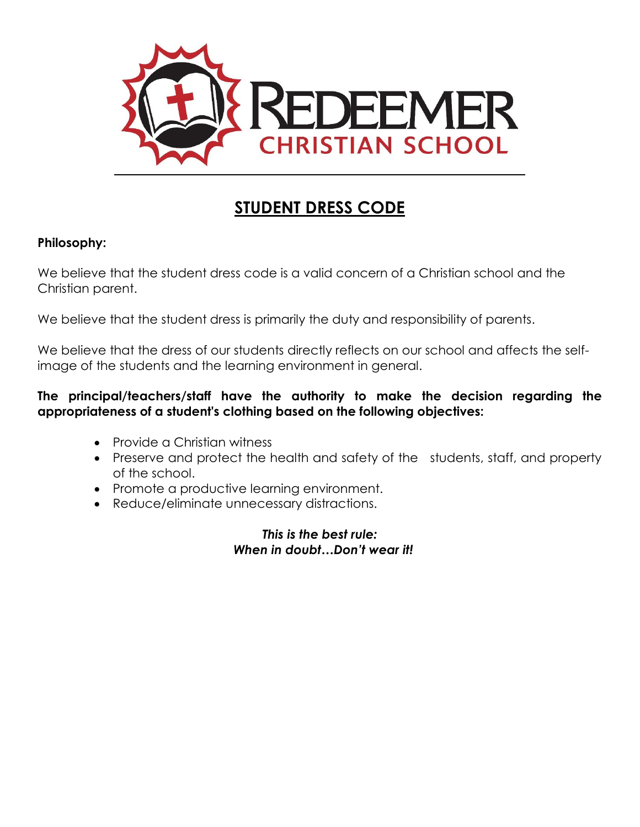

# **STUDENT DRESS CODE**

#### **Philosophy:**

We believe that the student dress code is a valid concern of a Christian school and the Christian parent.

We believe that the student dress is primarily the duty and responsibility of parents.

We believe that the dress of our students directly reflects on our school and affects the selfimage of the students and the learning environment in general.

#### **The principal/teachers/staff have the authority to make the decision regarding the appropriateness of a student's clothing based on the following objectives:**

- Provide a Christian witness
- Preserve and protect the health and safety of the students, staff, and property of the school.
- Promote a productive learning environment.
- Reduce/eliminate unnecessary distractions.

*This is the best rule: When in doubt…Don't wear it!*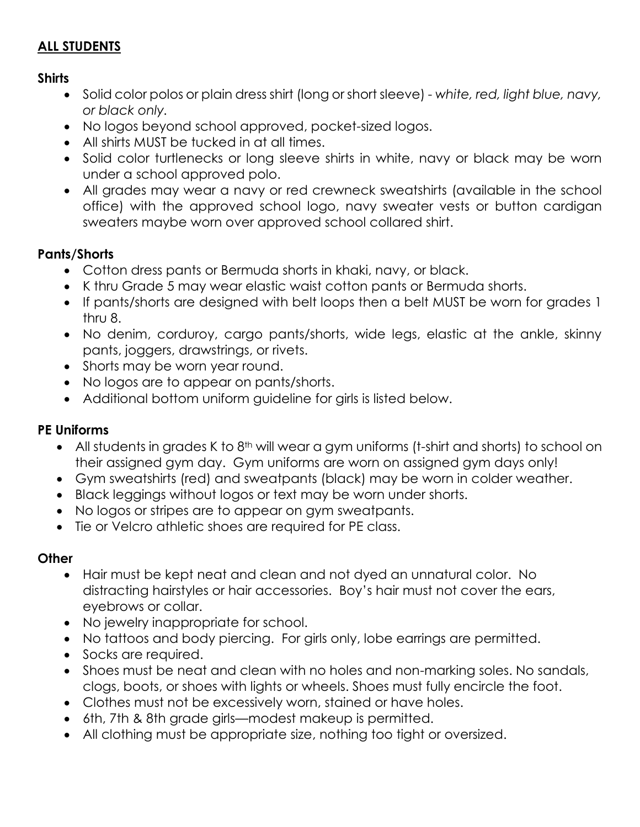## **ALL STUDENTS**

## **Shirts**

- Solid color polos or plain dress shirt (long or short sleeve) *white, red, light blue, navy, or black only.*
- No logos beyond school approved, pocket-sized logos.
- All shirts MUST be tucked in at all times.
- Solid color turtlenecks or long sleeve shirts in white, navy or black may be worn under a school approved polo.
- All grades may wear a navy or red crewneck sweatshirts (available in the school office) with the approved school logo, navy sweater vests or button cardigan sweaters maybe worn over approved school collared shirt.

## **Pants/Shorts**

- Cotton dress pants or Bermuda shorts in khaki, navy, or black.
- K thru Grade 5 may wear elastic waist cotton pants or Bermuda shorts.
- If pants/shorts are designed with belt loops then a belt MUST be worn for grades 1 thru 8.
- No denim, corduroy, cargo pants/shorts, wide legs, elastic at the ankle, skinny pants, joggers, drawstrings, or rivets.
- Shorts may be worn year round.
- No logos are to appear on pants/shorts.
- Additional bottom uniform guideline for girls is listed below.

## **PE Uniforms**

- $\bullet$  All students in grades K to 8<sup>th</sup> will wear a gym uniforms (t-shirt and shorts) to school on their assigned gym day. Gym uniforms are worn on assigned gym days only!
- Gym sweatshirts (red) and sweatpants (black) may be worn in colder weather.
- Black leggings without logos or text may be worn under shorts.
- No logos or stripes are to appear on gym sweatpants.
- Tie or Velcro athletic shoes are required for PE class.

## **Other**

- Hair must be kept neat and clean and not dyed an unnatural color. No distracting hairstyles or hair accessories. Boy's hair must not cover the ears, eyebrows or collar.
- No jewelry inappropriate for school.
- No tattoos and body piercing. For girls only, lobe earrings are permitted.
- Socks are required.
- Shoes must be neat and clean with no holes and non-marking soles. No sandals, clogs, boots, or shoes with lights or wheels. Shoes must fully encircle the foot.
- Clothes must not be excessively worn, stained or have holes.
- 6th, 7th & 8th grade girls—modest makeup is permitted.
- All clothing must be appropriate size, nothing too tight or oversized.